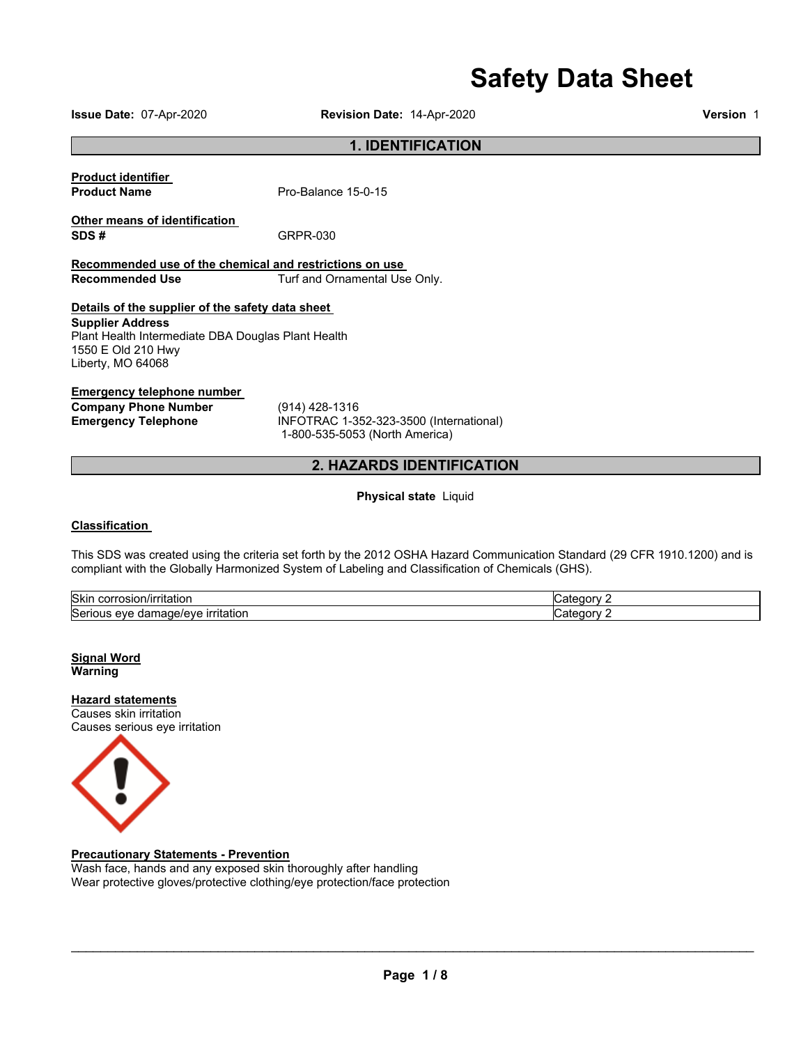# **Safety Data Sheet**

**Issue Date:** 07-Apr-2020 **Revision Date:** 14-Apr-2020 **Version** 1

# **1. IDENTIFICATION**

**Product identifier** 

**Product Name** Pro-Balance 15-0-15

**SDS #** GRPR-030

**Other means of identification** 

**Recommended use of the chemical and restrictions on use Recommended Use Turf and Ornamental Use Only.** 

## **Details of the supplier of the safety data sheet**

**Supplier Address** Plant Health Intermediate DBA Douglas Plant Health 1550 E Old 210 Hwy Liberty, MO 64068

#### **Emergency telephone number**

**Company Phone Number** (914) 428-1316

**Emergency Telephone** INFOTRAC 1-352-323-3500 (International) 1-800-535-5053 (North America)

# **2. HAZARDS IDENTIFICATION**

**Physical state** Liquid

## **Classification**

This SDS was created using the criteria set forth by the 2012 OSHA Hazard Communication Standard (29 CFR 1910.1200) and is compliant with the Globally Harmonized System of Labeling and Classification of Chemicals (GHS).

| <b>Skin</b><br>าtation<br>.<br>* 17 L<br>וכטו                                        | $\sim$ $\sim$ $\sim$<br>ערנ |
|--------------------------------------------------------------------------------------|-----------------------------|
| <b>Serious</b><br>a www.b<br>ritatior<br>۱۵۱۵۱۵<br>eve<br>. .<br>m<br>лаг<br>ю<br>71 | $-1$ $-1$<br>าเพ            |

**Signal Word Warning** 

**Hazard statements** Causes skin irritation Causes serious eye irritation



**Precautionary Statements - Prevention** Wash face, hands and any exposed skin thoroughly after handling Wear protective gloves/protective clothing/eye protection/face protection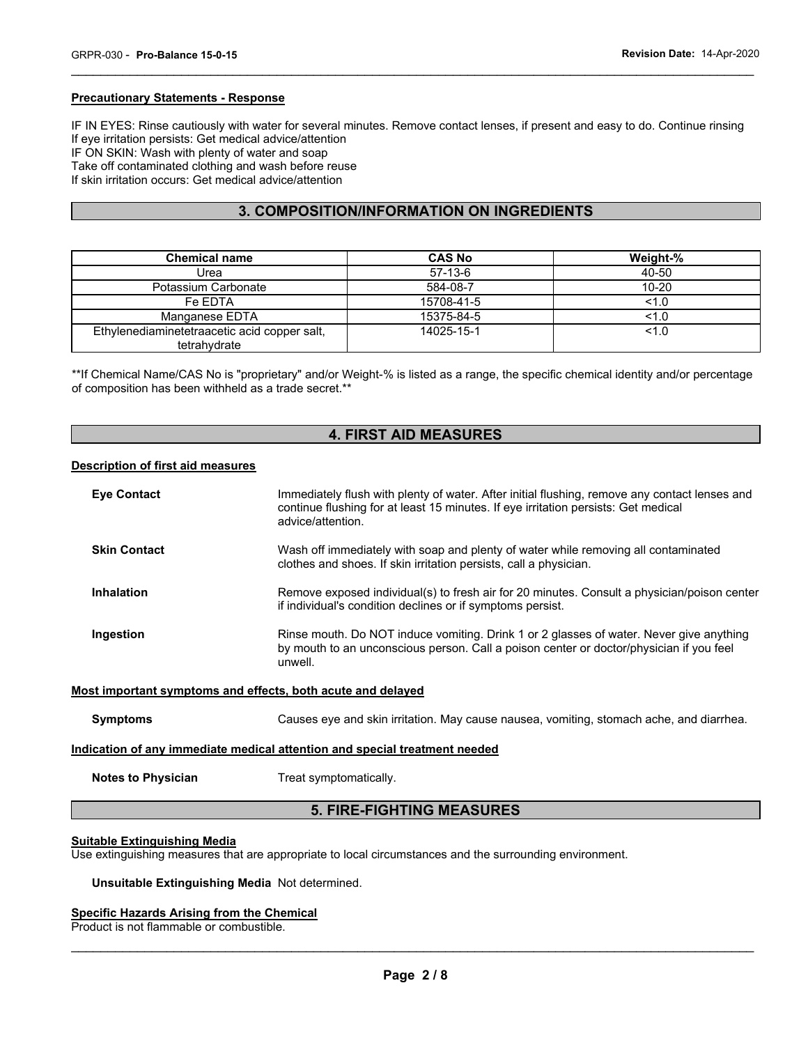#### **Precautionary Statements - Response**

IF IN EYES: Rinse cautiously with water for several minutes. Remove contact lenses, if present and easy to do. Continue rinsing If eye irritation persists: Get medical advice/attention IF ON SKIN: Wash with plenty of water and soap Take off contaminated clothing and wash before reuse If skin irritation occurs: Get medical advice/attention

\_\_\_\_\_\_\_\_\_\_\_\_\_\_\_\_\_\_\_\_\_\_\_\_\_\_\_\_\_\_\_\_\_\_\_\_\_\_\_\_\_\_\_\_\_\_\_\_\_\_\_\_\_\_\_\_\_\_\_\_\_\_\_\_\_\_\_\_\_\_\_\_\_\_\_\_\_\_\_\_\_\_\_\_\_\_\_\_\_\_\_\_\_

# **3. COMPOSITION/INFORMATION ON INGREDIENTS**

| <b>Chemical name</b>                                         | <b>CAS No</b> | Weight-%  |
|--------------------------------------------------------------|---------------|-----------|
| Urea                                                         | $57-13-6$     | 40-50     |
| Potassium Carbonate                                          | 584-08-7      | $10 - 20$ |
| Fe EDTA                                                      | 15708-41-5    | 1.0       |
| Manganese EDTA                                               | 15375-84-5    | 1.0       |
| Ethylenediaminetetraacetic acid copper salt,<br>tetrahydrate | 14025-15-1    | 1.0       |

\*\*If Chemical Name/CAS No is "proprietary" and/or Weight-% is listed as a range, the specific chemical identity and/or percentage of composition has been withheld as a trade secret.\*\*

# **4. FIRST AID MEASURES**

#### **Description of first aid measures**

| <b>Eve Contact</b>  | Immediately flush with plenty of water. After initial flushing, remove any contact lenses and<br>continue flushing for at least 15 minutes. If eye irritation persists: Get medical<br>advice/attention. |
|---------------------|----------------------------------------------------------------------------------------------------------------------------------------------------------------------------------------------------------|
| <b>Skin Contact</b> | Wash off immediately with soap and plenty of water while removing all contaminated<br>clothes and shoes. If skin irritation persists, call a physician.                                                  |
| Inhalation          | Remove exposed individual(s) to fresh air for 20 minutes. Consult a physician/poison center<br>if individual's condition declines or if symptoms persist.                                                |
| Ingestion           | Rinse mouth. Do NOT induce vomiting. Drink 1 or 2 glasses of water. Never give anything<br>by mouth to an unconscious person. Call a poison center or doctor/physician if you feel<br>unwell.            |
|                     | Most important symptoms and effects, both acute and delayed                                                                                                                                              |

**Symptoms** Causes eye and skin irritation. May cause nausea, vomiting, stomach ache, and diarrhea.

#### **Indication of any immediate medical attention and special treatment needed**

**Notes to Physician**  Treat symptomatically.

# **5. FIRE-FIGHTING MEASURES**

#### **Suitable Extinguishing Media**

Use extinguishing measures that are appropriate to local circumstances and the surrounding environment.

#### **Unsuitable Extinguishing Media** Not determined.

# **Specific Hazards Arising from the Chemical**

Product is not flammable or combustible.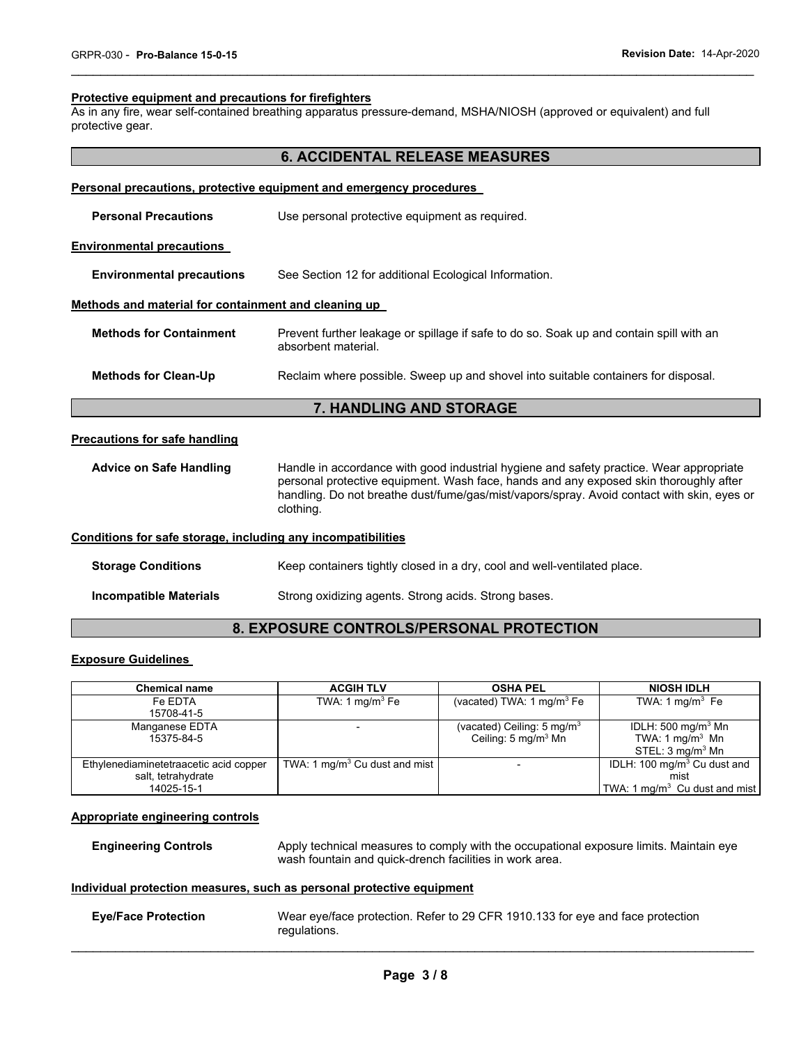#### **Protective equipment and precautions for firefighters**

As in any fire, wear self-contained breathing apparatus pressure-demand, MSHA/NIOSH (approved or equivalent) and full protective gear.

# **6. ACCIDENTAL RELEASE MEASURES**

\_\_\_\_\_\_\_\_\_\_\_\_\_\_\_\_\_\_\_\_\_\_\_\_\_\_\_\_\_\_\_\_\_\_\_\_\_\_\_\_\_\_\_\_\_\_\_\_\_\_\_\_\_\_\_\_\_\_\_\_\_\_\_\_\_\_\_\_\_\_\_\_\_\_\_\_\_\_\_\_\_\_\_\_\_\_\_\_\_\_\_\_\_

| Personal precautions, protective equipment and emergency procedures |                                                                                                                                                                                  |  |  |  |
|---------------------------------------------------------------------|----------------------------------------------------------------------------------------------------------------------------------------------------------------------------------|--|--|--|
| <b>Personal Precautions</b>                                         | Use personal protective equipment as required.                                                                                                                                   |  |  |  |
| <b>Environmental precautions</b>                                    |                                                                                                                                                                                  |  |  |  |
| <b>Environmental precautions</b>                                    | See Section 12 for additional Ecological Information.                                                                                                                            |  |  |  |
| Methods and material for containment and cleaning up                |                                                                                                                                                                                  |  |  |  |
| <b>Methods for Containment</b>                                      | Prevent further leakage or spillage if safe to do so. Soak up and contain spill with an<br>absorbent material.                                                                   |  |  |  |
| <b>Methods for Clean-Up</b>                                         | Reclaim where possible. Sweep up and shovel into suitable containers for disposal.                                                                                               |  |  |  |
| <b>7. HANDLING AND STORAGE</b>                                      |                                                                                                                                                                                  |  |  |  |
| Precautions for safe handling                                       |                                                                                                                                                                                  |  |  |  |
| <b>Advice on Safe Handling</b>                                      | Handle in accordance with good industrial hygiene and safety practice. Wear appropriate<br>personal protective equipment. Wash face, hands and any exposed skin thoroughly after |  |  |  |

# **Conditions for safe storage, including any incompatibilities**

clothing.

| <b>Storage Conditions</b> | Keep containers tightly closed in a dry, cool and well-ventilated place. |
|---------------------------|--------------------------------------------------------------------------|
| Incompatible Materials    | Strong oxidizing agents. Strong acids. Strong bases.                     |

# **8. EXPOSURE CONTROLS/PERSONAL PROTECTION**

handling. Do not breathe dust/fume/gas/mist/vapors/spray. Avoid contact with skin, eyes or

# **Exposure Guidelines**

| <b>Chemical name</b>                   | <b>ACGIH TLV</b>                | <b>OSHA PEL</b>                       | <b>NIOSH IDLH</b>                       |
|----------------------------------------|---------------------------------|---------------------------------------|-----------------------------------------|
| Fe EDTA                                | TWA: 1 $mq/m3$ Fe               | (vacated) TWA: $1 \text{ mg/m}^3$ Fe  | TWA: $1 \text{ mg/m}^3$ Fe              |
| 15708-41-5                             |                                 |                                       |                                         |
| Manganese EDTA                         |                                 | (vacated) Ceiling: $5 \text{ mg/m}^3$ | IDLH: 500 mg/m <sup>3</sup> Mn          |
| 15375-84-5                             |                                 | Ceiling: 5 mg/m <sup>3</sup> Mn       | TWA: 1 mg/m <sup>3</sup> Mn             |
|                                        |                                 |                                       | STEL: $3 \text{ mg/m}^3$ Mn             |
| Ethylenediaminetetraacetic acid copper | TWA: 1 $mg/m3$ Cu dust and mist | $\overline{\phantom{a}}$              | IDLH: 100 mg/m <sup>3</sup> Cu dust and |
| salt, tetrahydrate                     |                                 |                                       | mist                                    |
| 14025-15-1                             |                                 |                                       | TWA: 1 mg/m $3$ Cu dust and mist        |

#### **Appropriate engineering controls**

**Engineering Controls** Apply technical measures to comply with the occupational exposure limits. Maintain eye wash fountain and quick-drench facilities in work area.

#### **Individual protection measures, such as personal protective equipment**

| <b>Eye/Face Protection</b> | Wear eye/face protection. Refer to 29 CFR 1910.133 for eye and face protection |
|----------------------------|--------------------------------------------------------------------------------|
|                            | regulations.                                                                   |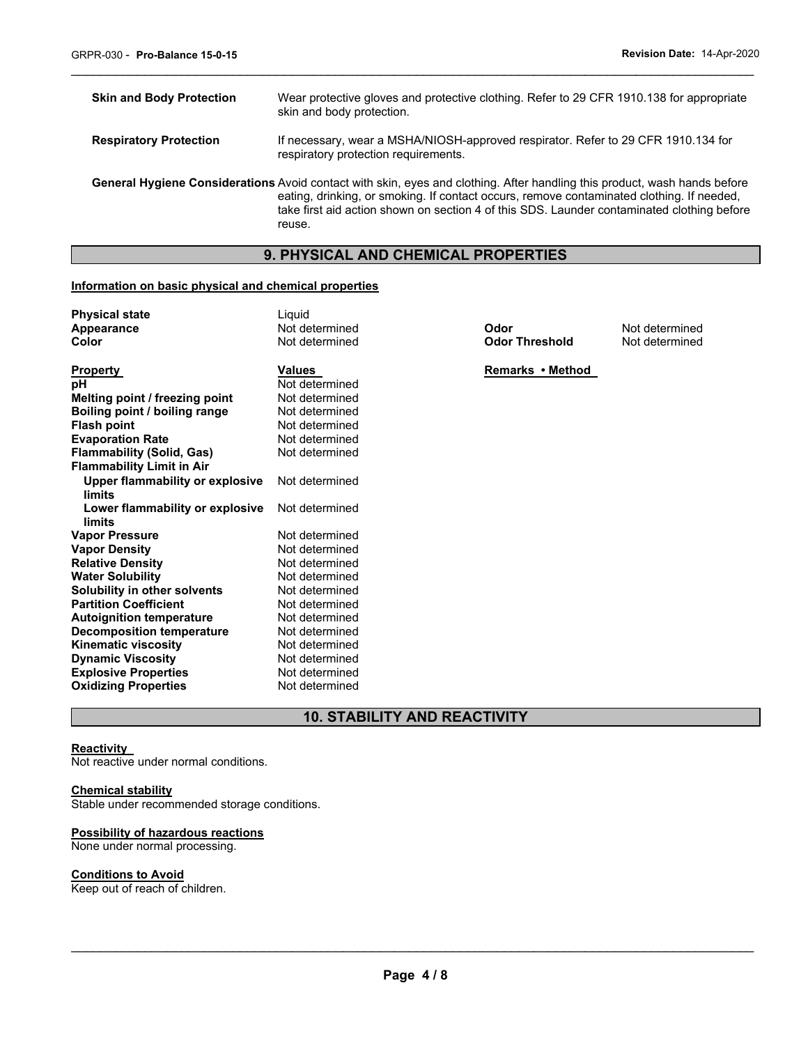| <b>Skin and Body Protection</b> | Wear protective gloves and protective clothing. Refer to 29 CFR 1910.138 for appropriate<br>skin and body protection.                                                                                                                                                                                                          |
|---------------------------------|--------------------------------------------------------------------------------------------------------------------------------------------------------------------------------------------------------------------------------------------------------------------------------------------------------------------------------|
| <b>Respiratory Protection</b>   | If necessary, wear a MSHA/NIOSH-approved respirator. Refer to 29 CFR 1910.134 for<br>respiratory protection requirements.                                                                                                                                                                                                      |
|                                 | General Hygiene Considerations Avoid contact with skin, eyes and clothing. After handling this product, wash hands before<br>eating, drinking, or smoking. If contact occurs, remove contaminated clothing. If needed,<br>take first aid action shown on section 4 of this SDS. Launder contaminated clothing before<br>reuse. |

\_\_\_\_\_\_\_\_\_\_\_\_\_\_\_\_\_\_\_\_\_\_\_\_\_\_\_\_\_\_\_\_\_\_\_\_\_\_\_\_\_\_\_\_\_\_\_\_\_\_\_\_\_\_\_\_\_\_\_\_\_\_\_\_\_\_\_\_\_\_\_\_\_\_\_\_\_\_\_\_\_\_\_\_\_\_\_\_\_\_\_\_\_

# **9. PHYSICAL AND CHEMICAL PROPERTIES**

## **Information on basic physical and chemical properties**

| <b>Physical state</b>            | Liquid         |                       |                |
|----------------------------------|----------------|-----------------------|----------------|
| Appearance                       | Not determined | Odor                  | Not determined |
| Color                            | Not determined | <b>Odor Threshold</b> | Not determined |
| <b>Property</b>                  | <b>Values</b>  | Remarks • Method      |                |
| рH                               | Not determined |                       |                |
| Melting point / freezing point   | Not determined |                       |                |
| Boiling point / boiling range    | Not determined |                       |                |
| <b>Flash point</b>               | Not determined |                       |                |
| <b>Evaporation Rate</b>          | Not determined |                       |                |
| <b>Flammability (Solid, Gas)</b> | Not determined |                       |                |
| <b>Flammability Limit in Air</b> |                |                       |                |
| Upper flammability or explosive  | Not determined |                       |                |
| limits                           |                |                       |                |
| Lower flammability or explosive  | Not determined |                       |                |
| limits                           |                |                       |                |
| <b>Vapor Pressure</b>            | Not determined |                       |                |
| <b>Vapor Density</b>             | Not determined |                       |                |
| <b>Relative Density</b>          | Not determined |                       |                |
| <b>Water Solubility</b>          | Not determined |                       |                |
| Solubility in other solvents     | Not determined |                       |                |
| <b>Partition Coefficient</b>     | Not determined |                       |                |
| <b>Autoignition temperature</b>  | Not determined |                       |                |
| <b>Decomposition temperature</b> | Not determined |                       |                |
| <b>Kinematic viscosity</b>       | Not determined |                       |                |
| <b>Dynamic Viscosity</b>         | Not determined |                       |                |
| <b>Explosive Properties</b>      | Not determined |                       |                |
| <b>Oxidizing Properties</b>      | Not determined |                       |                |

**10. STABILITY AND REACTIVITY** 

#### **Reactivity**

Not reactive under normal conditions.

# **Chemical stability**

Stable under recommended storage conditions.

#### **Possibility of hazardous reactions**

None under normal processing.

## **Conditions to Avoid**

Keep out of reach of children.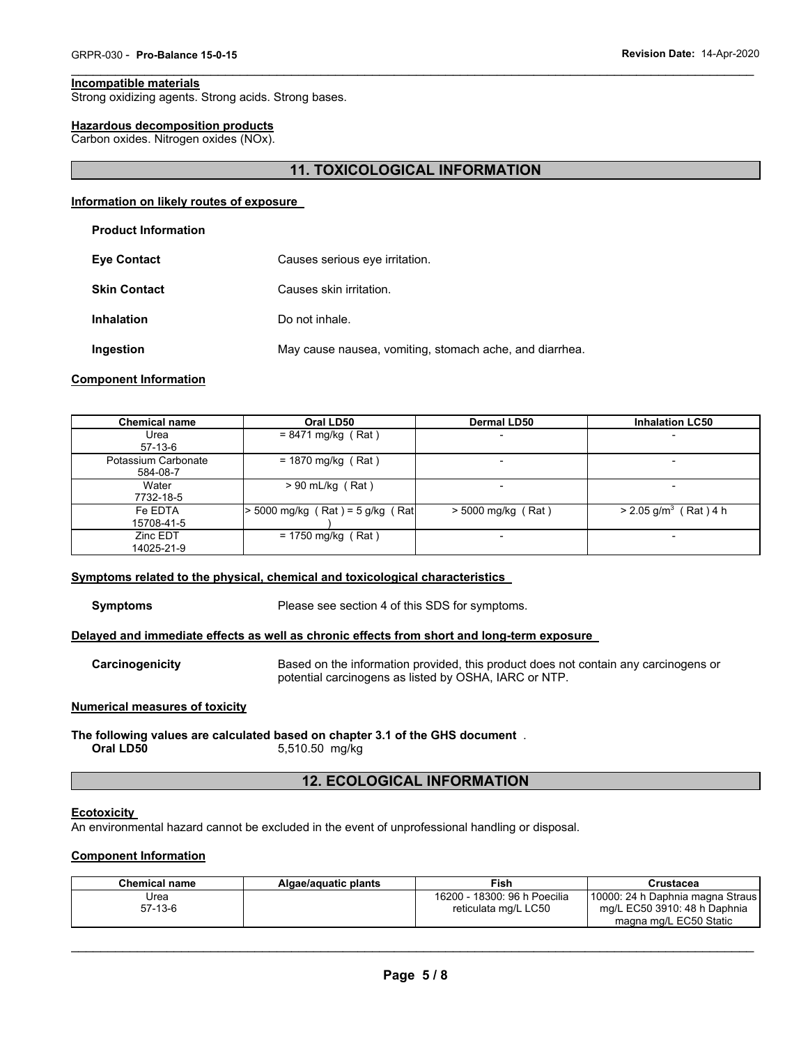#### **Incompatible materials**

Strong oxidizing agents. Strong acids. Strong bases.

## **Hazardous decomposition products**

Carbon oxides. Nitrogen oxides (NOx).

# **11. TOXICOLOGICAL INFORMATION**

\_\_\_\_\_\_\_\_\_\_\_\_\_\_\_\_\_\_\_\_\_\_\_\_\_\_\_\_\_\_\_\_\_\_\_\_\_\_\_\_\_\_\_\_\_\_\_\_\_\_\_\_\_\_\_\_\_\_\_\_\_\_\_\_\_\_\_\_\_\_\_\_\_\_\_\_\_\_\_\_\_\_\_\_\_\_\_\_\_\_\_\_\_

#### **Information on likely routes of exposure**

|  | <b>Product Information</b> |
|--|----------------------------|
|--|----------------------------|

| <b>Eye Contact</b>  | Causes serious eye irritation.                          |  |
|---------------------|---------------------------------------------------------|--|
| <b>Skin Contact</b> | Causes skin irritation.                                 |  |
| <b>Inhalation</b>   | Do not inhale.                                          |  |
| Ingestion           | May cause nausea, vomiting, stomach ache, and diarrhea. |  |

#### **Component Information**

| <b>Chemical name</b>            | Oral LD50                          | <b>Dermal LD50</b>       | <b>Inhalation LC50</b>              |
|---------------------------------|------------------------------------|--------------------------|-------------------------------------|
| Urea<br>$57-13-6$               | $= 8471$ mg/kg (Rat)               | $\overline{\phantom{0}}$ | ٠                                   |
| Potassium Carbonate<br>584-08-7 | $= 1870$ mg/kg (Rat)               |                          | ٠                                   |
| Water<br>7732-18-5              | $> 90$ mL/kg (Rat)                 |                          | -                                   |
| Fe EDTA<br>15708-41-5           | $>$ 5000 mg/kg (Rat) = 5 g/kg (Rat | $>$ 5000 mg/kg (Rat)     | $> 2.05$ g/m <sup>3</sup> (Rat) 4 h |
| Zinc EDT<br>14025-21-9          | $= 1750$ mg/kg (Rat)               |                          | -                                   |

#### **Symptoms related to the physical, chemical and toxicological characteristics**

**Symptoms** Please see section 4 of this SDS for symptoms.

# **Delayed and immediate effects as well as chronic effects from short and long-term exposure**

**Carcinogenicity** Based on the information provided, this product does not contain any carcinogens or potential carcinogens as listed by OSHA, IARC or NTP.

#### **Numerical measures of toxicity**

**The following values are calculated based on chapter 3.1 of the GHS document** . **Oral LD50** 5,510.50 mg/kg

# **12. ECOLOGICAL INFORMATION**

#### **Ecotoxicity**

An environmental hazard cannot be excluded in the event of unprofessional handling or disposal.

#### **Component Information**

| Chemical name | Algae/aguatic plants | Fish                         | Crustacea                                              |
|---------------|----------------------|------------------------------|--------------------------------------------------------|
| Jrea          |                      | 16200 - 18300: 96 h Poecilia | 110000: 24 h Daphnia magna Straus I                    |
| 57-13-6       |                      | reticulata mg/L LC50         | mg/L EC50 3910: 48 h Daphnia<br>magna mg/L EC50 Static |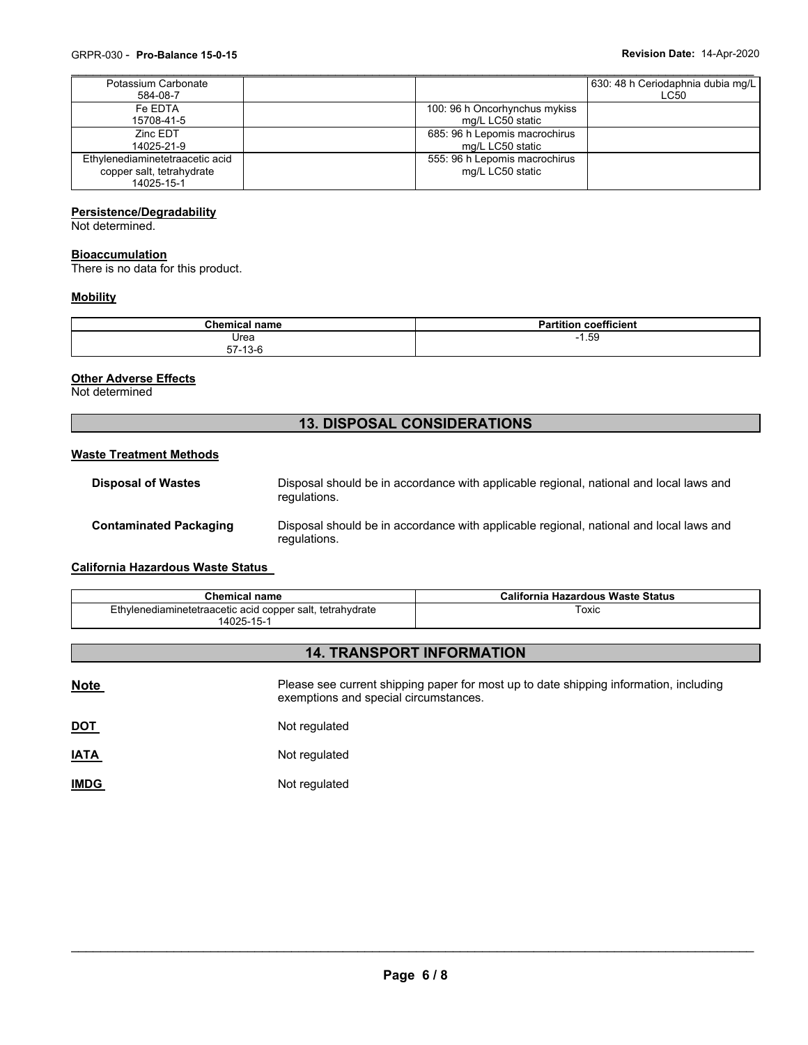| Potassium Carbonate             |                               | 630: 48 h Ceriodaphnia dubia mg/L |
|---------------------------------|-------------------------------|-----------------------------------|
| 584-08-7                        |                               | LC50                              |
| Fe FDTA                         | 100: 96 h Oncorhynchus mykiss |                                   |
| 15708-41-5                      | mg/L LC50 static              |                                   |
| <b>Zinc FDT</b>                 | 685: 96 h Lepomis macrochirus |                                   |
| 14025-21-9                      | mg/L LC50 static              |                                   |
| Ethylenediaminetetraacetic acid | 555: 96 h Lepomis macrochirus |                                   |
| copper salt, tetrahydrate       | mg/L LC50 static              |                                   |
| 14025-15-1                      |                               |                                   |

#### **Persistence/Degradability**

Not determined.

## **Bioaccumulation**

There is no data for this product.

## **Mobility**

| Chemical .<br>namo<br>ाावागा            | ---<br>.<br>הם<br>coefficient<br>artitior. |  |  |
|-----------------------------------------|--------------------------------------------|--|--|
| Urea                                    | 1.59<br>- 1                                |  |  |
| $\overline{A}$<br>--<br>ь.<br>ت-د ۱ - ۲ |                                            |  |  |

## **Other Adverse Effects**

Not determined

# **13. DISPOSAL CONSIDERATIONS**

## **Waste Treatment Methods**

| <b>Disposal of Wastes</b>     | Disposal should be in accordance with applicable regional, national and local laws and<br>regulations. |
|-------------------------------|--------------------------------------------------------------------------------------------------------|
| <b>Contaminated Packaging</b> | Disposal should be in accordance with applicable regional, national and local laws and<br>regulations. |

# **California Hazardous Waste Status**

| Chemical name                                             | California Hazardous Waste Status |  |
|-----------------------------------------------------------|-----------------------------------|--|
| Ethylenediaminetetraacetic acid copper salt, tetrahydrate | Гохіс                             |  |
| 14025-15-1                                                |                                   |  |

# **14. TRANSPORT INFORMATION**

| <b>Note</b> | Please see current shipping paper for most up to date shipping information, including<br>exemptions and special circumstances. |
|-------------|--------------------------------------------------------------------------------------------------------------------------------|
| <b>DOT</b>  | Not regulated                                                                                                                  |
| <b>IATA</b> | Not regulated                                                                                                                  |
| <b>IMDG</b> | Not regulated                                                                                                                  |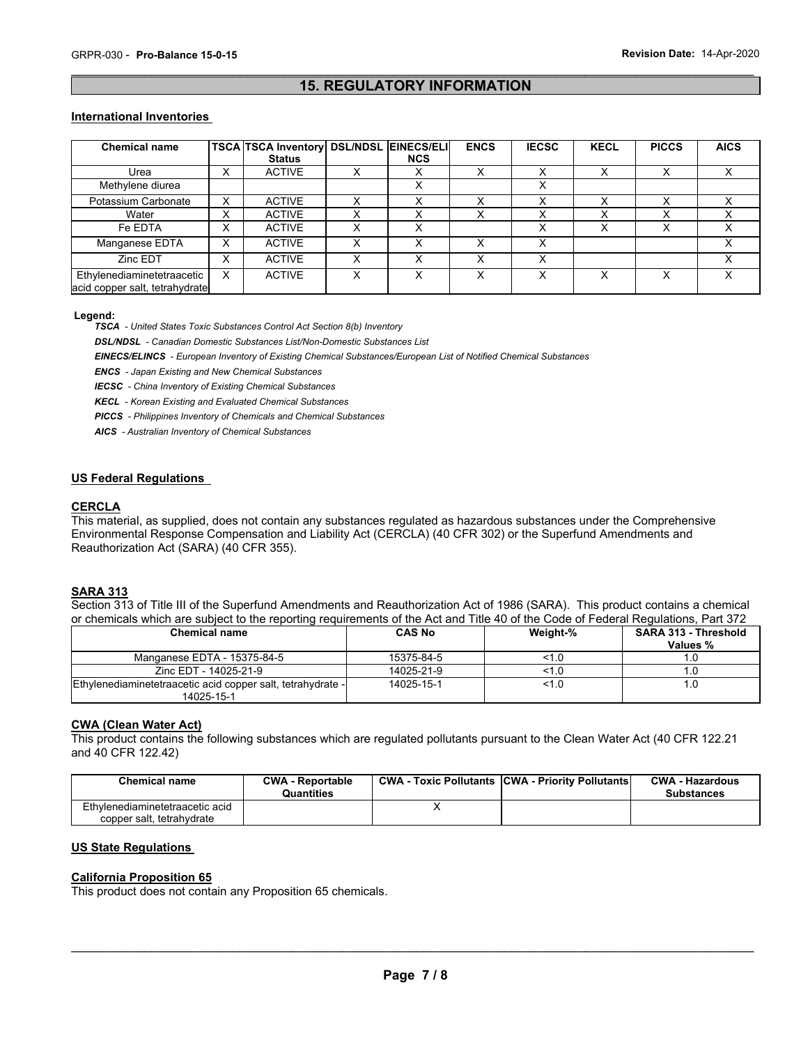# $\mathcal{L}_\mathcal{L} = \{ \mathcal{L}_\mathcal{L} = \{ \mathcal{L}_\mathcal{L} = \{ \mathcal{L}_\mathcal{L} = \{ \mathcal{L}_\mathcal{L} = \{ \mathcal{L}_\mathcal{L} = \{ \mathcal{L}_\mathcal{L} = \{ \mathcal{L}_\mathcal{L} = \{ \mathcal{L}_\mathcal{L} = \{ \mathcal{L}_\mathcal{L} = \{ \mathcal{L}_\mathcal{L} = \{ \mathcal{L}_\mathcal{L} = \{ \mathcal{L}_\mathcal{L} = \{ \mathcal{L}_\mathcal{L} = \{ \mathcal{L}_\mathcal{$ **15. REGULATORY INFORMATION**

#### **International Inventories**

| <b>Chemical name</b>           |                   | <b>TSCA TSCA Inventory DSL/NDSL EINECS/ELI</b><br><b>Status</b> | <b>NCS</b> | <b>ENCS</b> | <b>IECSC</b> | <b>KECL</b>       | <b>PICCS</b> | <b>AICS</b>  |
|--------------------------------|-------------------|-----------------------------------------------------------------|------------|-------------|--------------|-------------------|--------------|--------------|
| Urea                           | v                 | <b>ACTIVE</b>                                                   |            | Χ           | $\checkmark$ | $\checkmark$      | x            |              |
|                                | ᄉ                 |                                                                 |            |             | $\checkmark$ | ⋏                 |              |              |
| Methylene diurea               |                   |                                                                 |            |             | ∧            |                   |              |              |
| Potassium Carbonate            | X                 | <b>ACTIVE</b>                                                   |            | x           | v            | $\checkmark$      | X            |              |
| Water                          | v<br>v            | <b>ACTIVE</b>                                                   |            | x           | v            | $\checkmark$<br>́ | ⋏            |              |
| Fe EDTA                        | X                 | <b>ACTIVE</b>                                                   | x          |             | $\checkmark$ | x                 | x            | $\checkmark$ |
| Manganese EDTA                 | X                 | <b>ACTIVE</b>                                                   |            | X           | v            |                   |              |              |
| Zinc EDT                       | $\checkmark$<br>⋏ | <b>ACTIVE</b>                                                   |            | X           | $\check{ }$  |                   |              |              |
| Ethylenediaminetetraacetic     | X                 | <b>ACTIVE</b>                                                   | x          | X           | $\checkmark$ | $\check{ }$<br>⋏  | x            |              |
| acid copper salt, tetrahydrate |                   |                                                                 |            |             |              |                   |              |              |

#### **Legend:**

*TSCA - United States Toxic Substances Control Act Section 8(b) Inventory* 

*DSL/NDSL - Canadian Domestic Substances List/Non-Domestic Substances List* 

*EINECS/ELINCS - European Inventory of Existing Chemical Substances/European List of Notified Chemical Substances* 

*ENCS - Japan Existing and New Chemical Substances* 

*IECSC - China Inventory of Existing Chemical Substances* 

*KECL - Korean Existing and Evaluated Chemical Substances* 

*PICCS - Philippines Inventory of Chemicals and Chemical Substances* 

*AICS - Australian Inventory of Chemical Substances* 

# **US Federal Regulations**

#### **CERCLA**

This material, as supplied, does not contain any substances regulated as hazardous substances under the Comprehensive Environmental Response Compensation and Liability Act (CERCLA) (40 CFR 302) or the Superfund Amendments and Reauthorization Act (SARA) (40 CFR 355).

#### **SARA 313**

Section 313 of Title III of the Superfund Amendments and Reauthorization Act of 1986 (SARA). This product contains a chemical or chemicals which are subject to the reporting requirements of the Act and Title 40 of the Code of Federal Regulations, Part 372

| <b>Chemical name</b>                                        | <b>CAS No</b> | Weight-% | <b>SARA 313 - Threshold</b><br>Values % |
|-------------------------------------------------------------|---------------|----------|-----------------------------------------|
| Manganese EDTA - 15375-84-5                                 | 15375-84-5    | <1.0     |                                         |
| Zinc EDT - 14025-21-9                                       | 14025-21-9    | <1.0     |                                         |
| Ethylenediaminetetraacetic acid copper salt, tetrahydrate - | 14025-15-1    | <1.0     |                                         |
| 14025-15-1                                                  |               |          |                                         |

#### **CWA (Clean Water Act)**

This product contains the following substances which are regulated pollutants pursuant to the Clean Water Act (40 CFR 122.21 and 40 CFR 122.42)

| <b>Chemical name</b>                                         | <b>CWA - Reportable</b><br>Quantities | <b>CWA - Toxic Pollutants CWA - Priority Pollutants</b> | <b>CWA - Hazardous</b><br><b>Substances</b> |
|--------------------------------------------------------------|---------------------------------------|---------------------------------------------------------|---------------------------------------------|
| Ethylenediaminetetraacetic acid<br>copper salt, tetrahydrate |                                       |                                                         |                                             |

# **US State Regulations**

#### **California Proposition 65**

This product does not contain any Proposition 65 chemicals.